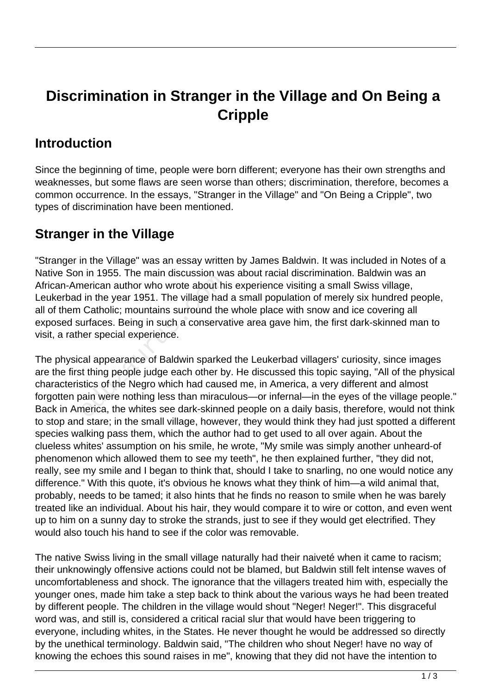# **Discrimination in Stranger in the Village and On Being a Cripple**

#### **Introduction**

Since the beginning of time, people were born different; everyone has their own strengths and weaknesses, but some flaws are seen worse than others; discrimination, therefore, becomes a common occurrence. In the essays, "Stranger in the Village" and "On Being a Cripple", two types of discrimination have been mentioned.

### **Stranger in the Village**

"Stranger in the Village" was an essay written by James Baldwin. It was included in Notes of a Native Son in 1955. The main discussion was about racial discrimination. Baldwin was an African-American author who wrote about his experience visiting a small Swiss village, Leukerbad in the year 1951. The village had a small population of merely six hundred people, all of them Catholic; mountains surround the whole place with snow and ice covering all exposed surfaces. Being in such a conservative area gave him, the first dark-skinned man to visit, a rather special experience.

The physical appearance of Baldwin sparked the Leukerbad villagers' curiosity, since images are the first thing people judge each other by. He discussed this topic saying, "All of the physical characteristics of the Negro which had caused me, in America, a very different and almost forgotten pain were nothing less than miraculous—or infernal—in the eyes of the village people." Back in America, the whites see dark-skinned people on a daily basis, therefore, would not think to stop and stare; in the small village, however, they would think they had just spotted a different species walking pass them, which the author had to get used to all over again. About the clueless whites' assumption on his smile, he wrote, "My smile was simply another unheard-of phenomenon which allowed them to see my teeth", he then explained further, "they did not, really, see my smile and I began to think that, should I take to snarling, no one would notice any difference." With this quote, it's obvious he knows what they think of him—a wild animal that, probably, needs to be tamed; it also hints that he finds no reason to smile when he was barely treated like an individual. About his hair, they would compare it to wire or cotton, and even went up to him on a sunny day to stroke the strands, just to see if they would get electrified. They would also touch his hand to see if the color was removable. The Highland and the Village had<br>lin the year 1951. The village had<br>Catholic; mountains surround the<br>urfaces. Being in such a conserva<br>ner special experience.<br>cal appearance of Baldwin sparked<br>t thing people judge each oth

The native Swiss living in the small village naturally had their naiveté when it came to racism; their unknowingly offensive actions could not be blamed, but Baldwin still felt intense waves of uncomfortableness and shock. The ignorance that the villagers treated him with, especially the younger ones, made him take a step back to think about the various ways he had been treated by different people. The children in the village would shout "Neger! Neger!". This disgraceful word was, and still is, considered a critical racial slur that would have been triggering to everyone, including whites, in the States. He never thought he would be addressed so directly by the unethical terminology. Baldwin said, "The children who shout Neger! have no way of knowing the echoes this sound raises in me", knowing that they did not have the intention to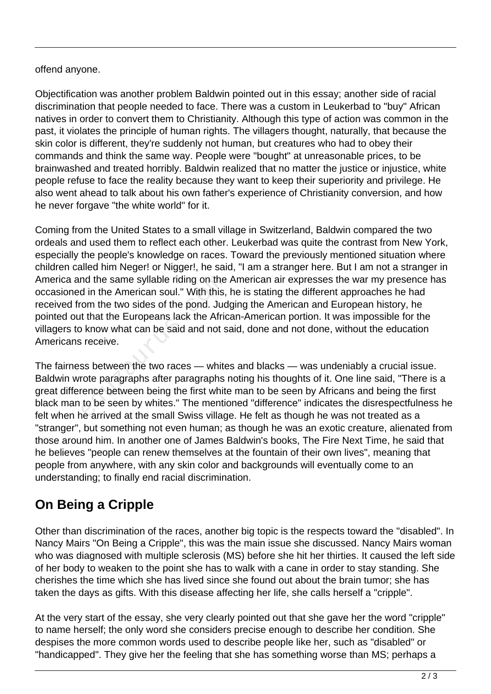#### offend anyone.

Objectification was another problem Baldwin pointed out in this essay; another side of racial discrimination that people needed to face. There was a custom in Leukerbad to "buy" African natives in order to convert them to Christianity. Although this type of action was common in the past, it violates the principle of human rights. The villagers thought, naturally, that because the skin color is different, they're suddenly not human, but creatures who had to obey their commands and think the same way. People were "bought" at unreasonable prices, to be brainwashed and treated horribly. Baldwin realized that no matter the justice or injustice, white people refuse to face the reality because they want to keep their superiority and privilege. He also went ahead to talk about his own father's experience of Christianity conversion, and how he never forgave "the white world" for it.

Coming from the United States to a small village in Switzerland, Baldwin compared the two ordeals and used them to reflect each other. Leukerbad was quite the contrast from New York, especially the people's knowledge on races. Toward the previously mentioned situation where children called him Neger! or Nigger!, he said, "I am a stranger here. But I am not a stranger in America and the same syllable riding on the American air expresses the war my presence has occasioned in the American soul." With this, he is stating the different approaches he had received from the two sides of the pond. Judging the American and European history, he pointed out that the Europeans lack the African-American portion. It was impossible for the villagers to know what can be said and not said, done and not done, without the education Americans receive. nd the same syllable riding on the<br>d in the American soul." With this,<br>com the two sides of the pond. Jud<br>t that the Europeans lack the Afric<br>b know what can be said and not s<br>is receive.<br>ss between the two races — white<br>r

The fairness between the two races — whites and blacks — was undeniably a crucial issue. Baldwin wrote paragraphs after paragraphs noting his thoughts of it. One line said, "There is a great difference between being the first white man to be seen by Africans and being the first black man to be seen by whites." The mentioned "difference" indicates the disrespectfulness he felt when he arrived at the small Swiss village. He felt as though he was not treated as a "stranger", but something not even human; as though he was an exotic creature, alienated from those around him. In another one of James Baldwin's books, The Fire Next Time, he said that he believes "people can renew themselves at the fountain of their own lives", meaning that people from anywhere, with any skin color and backgrounds will eventually come to an understanding; to finally end racial discrimination.

## **On Being a Cripple**

Other than discrimination of the races, another big topic is the respects toward the "disabled". In Nancy Mairs "On Being a Cripple", this was the main issue she discussed. Nancy Mairs woman who was diagnosed with multiple sclerosis (MS) before she hit her thirties. It caused the left side of her body to weaken to the point she has to walk with a cane in order to stay standing. She cherishes the time which she has lived since she found out about the brain tumor; she has taken the days as gifts. With this disease affecting her life, she calls herself a "cripple".

At the very start of the essay, she very clearly pointed out that she gave her the word "cripple" to name herself; the only word she considers precise enough to describe her condition. She despises the more common words used to describe people like her, such as "disabled" or "handicapped". They give her the feeling that she has something worse than MS; perhaps a